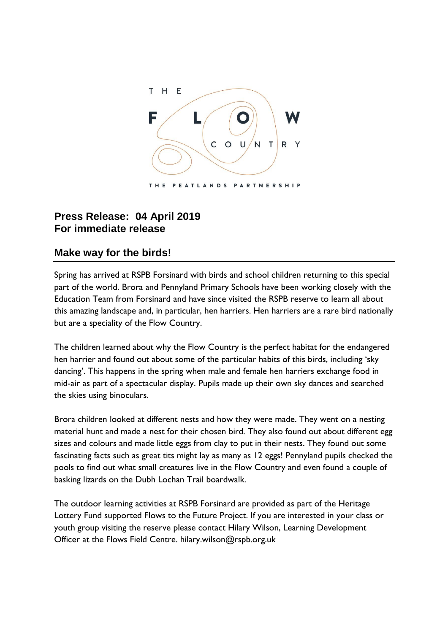

## **Press Release: 04 April 2019 For immediate release**

## **Make way for the birds!**

Spring has arrived at RSPB Forsinard with birds and school children returning to this special part of the world. Brora and Pennyland Primary Schools have been working closely with the Education Team from Forsinard and have since visited the RSPB reserve to learn all about this amazing landscape and, in particular, hen harriers. Hen harriers are a rare bird nationally but are a speciality of the Flow Country.

The children learned about why the Flow Country is the perfect habitat for the endangered hen harrier and found out about some of the particular habits of this birds, including 'sky dancing'. This happens in the spring when male and female hen harriers exchange food in mid-air as part of a spectacular display. Pupils made up their own sky dances and searched the skies using binoculars.

Brora children looked at different nests and how they were made. They went on a nesting material hunt and made a nest for their chosen bird. They also found out about different egg sizes and colours and made little eggs from clay to put in their nests. They found out some fascinating facts such as great tits might lay as many as 12 eggs! Pennyland pupils checked the pools to find out what small creatures live in the Flow Country and even found a couple of basking lizards on the Dubh Lochan Trail boardwalk.

The outdoor learning activities at RSPB Forsinard are provided as part of the Heritage Lottery Fund supported Flows to the Future Project. If you are interested in your class or youth group visiting the reserve please contact Hilary Wilson, Learning Development Officer at the Flows Field Centre. hilary.wilson@rspb.org.uk